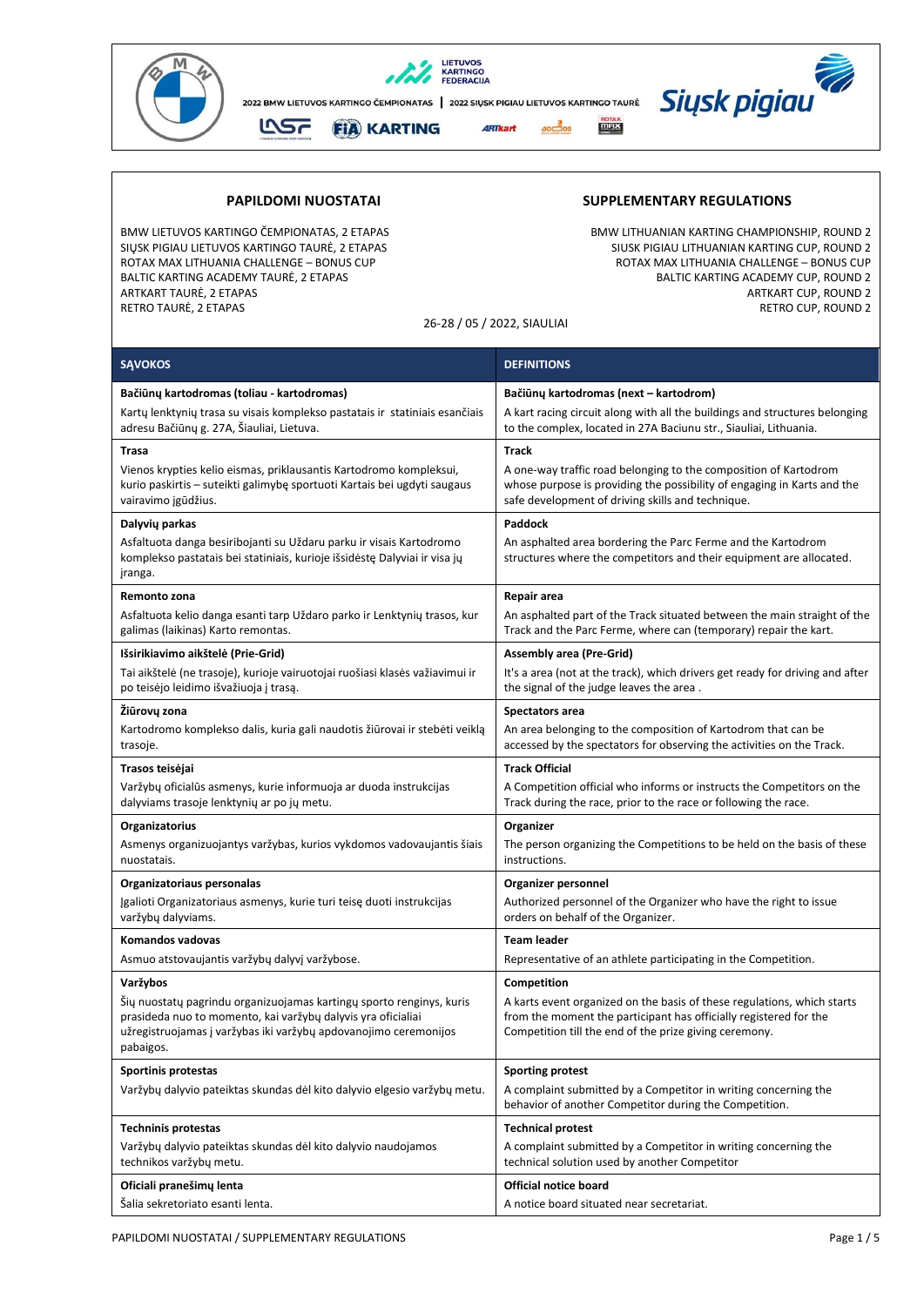

BALTIC KARTING ACADEMY TAURĖ, 2 ETAPAS<br>ARTKART TAURĖ, 2 ETAPAS RETRO TAURĖ, 2 ETAPAS

## **PAPILDOMI NUOSTATAI SUPPLEMENTARY REGULATIONS**

BMW LIETUVOS KARTINGO ČEMPIONATAS, 2 ETAPAS<br>1992 - SIŲSK PIGIAU LIETUVOS KARTINGO TAURĖ, 2 ETAPAS BMW LITHUANIAN KARTING CUP, ROUND 2 SIŲSK PIGIAU LIETUVOS KARTINGO TAURĖ, 2 ETAPAS SIUSK PIGIAU LITHUANIAN KARTING CUP, ROUND 2<br>SIUSK PIGIAU LITHUANIA CHALLENGE – BONUS CUP SIUSK PIGIAU LITHUANIA CHALLENGE – BONUS CUP, ROTAX MAX LITHUANIA ROTAX MAX LITHUANIA CHALLENGE – BONUS CUP ROTAX MAX LITHUANIA CHALLENGE – BONUS CUP ARTKART CUP, ROUND 2<br>RETRO CUP, ROUND 2

26-28 / 05 / 2022, SIAULIAI

| <b>SAVOKOS</b>                                                                                                                                                                                                        | <b>DEFINITIONS</b>                                                                                                                                                                                     |
|-----------------------------------------------------------------------------------------------------------------------------------------------------------------------------------------------------------------------|--------------------------------------------------------------------------------------------------------------------------------------------------------------------------------------------------------|
| Bačiūnų kartodromas (toliau - kartodromas)                                                                                                                                                                            | Bačiūnų kartodromas (next – kartodrom)                                                                                                                                                                 |
| Kartų lenktynių trasa su visais komplekso pastatais ir statiniais esančiais<br>adresu Bačiūnų g. 27A, Šiauliai, Lietuva.                                                                                              | A kart racing circuit along with all the buildings and structures belonging<br>to the complex, located in 27A Baciunu str., Siauliai, Lithuania.                                                       |
| Trasa                                                                                                                                                                                                                 | <b>Track</b>                                                                                                                                                                                           |
| Vienos krypties kelio eismas, priklausantis Kartodromo kompleksui,<br>kurio paskirtis - suteikti galimybę sportuoti Kartais bei ugdyti saugaus<br>vairavimo įgūdžius.                                                 | A one-way traffic road belonging to the composition of Kartodrom<br>whose purpose is providing the possibility of engaging in Karts and the<br>safe development of driving skills and technique.       |
| Dalyvių parkas                                                                                                                                                                                                        | Paddock                                                                                                                                                                                                |
| Asfaltuota danga besiribojanti su Uždaru parku ir visais Kartodromo<br>komplekso pastatais bei statiniais, kurioje išsidėstę Dalyviai ir visa jų<br>jranga.                                                           | An asphalted area bordering the Parc Ferme and the Kartodrom<br>structures where the competitors and their equipment are allocated.                                                                    |
| Remonto zona                                                                                                                                                                                                          | Repair area                                                                                                                                                                                            |
| Asfaltuota kelio danga esanti tarp Uždaro parko ir Lenktynių trasos, kur<br>galimas (laikinas) Karto remontas.                                                                                                        | An asphalted part of the Track situated between the main straight of the<br>Track and the Parc Ferme, where can (temporary) repair the kart.                                                           |
| Išsirikiavimo aikštelė (Prie-Grid)                                                                                                                                                                                    | <b>Assembly area (Pre-Grid)</b>                                                                                                                                                                        |
| Tai aikštelė (ne trasoje), kurioje vairuotojai ruošiasi klasės važiavimui ir<br>po teisėjo leidimo išvažiuoja į trasą.                                                                                                | It's a area (not at the track), which drivers get ready for driving and after<br>the signal of the judge leaves the area.                                                                              |
| Žiūrovų zona                                                                                                                                                                                                          | <b>Spectators area</b>                                                                                                                                                                                 |
| Kartodromo komplekso dalis, kuria gali naudotis žiūrovai ir stebėti veiklą<br>trasoje.                                                                                                                                | An area belonging to the composition of Kartodrom that can be<br>accessed by the spectators for observing the activities on the Track.                                                                 |
| Trasos teisėjai                                                                                                                                                                                                       | <b>Track Official</b>                                                                                                                                                                                  |
| Varžybų oficialūs asmenys, kurie informuoja ar duoda instrukcijas<br>dalyviams trasoje lenktynių ar po jų metu.                                                                                                       | A Competition official who informs or instructs the Competitors on the<br>Track during the race, prior to the race or following the race.                                                              |
| Organizatorius                                                                                                                                                                                                        | Organizer                                                                                                                                                                                              |
| Asmenys organizuojantys varžybas, kurios vykdomos vadovaujantis šiais<br>nuostatais.                                                                                                                                  | The person organizing the Competitions to be held on the basis of these<br>instructions.                                                                                                               |
| Organizatoriaus personalas                                                                                                                                                                                            | Organizer personnel                                                                                                                                                                                    |
| Įgalioti Organizatoriaus asmenys, kurie turi teisę duoti instrukcijas<br>varžybų dalyviams.                                                                                                                           | Authorized personnel of the Organizer who have the right to issue<br>orders on behalf of the Organizer.                                                                                                |
| Komandos vadovas                                                                                                                                                                                                      | <b>Team leader</b>                                                                                                                                                                                     |
| Asmuo atstovaujantis varžybų dalyvį varžybose.                                                                                                                                                                        | Representative of an athlete participating in the Competition.                                                                                                                                         |
| Varžybos                                                                                                                                                                                                              | Competition                                                                                                                                                                                            |
| Sių nuostatų pagrindu organizuojamas kartingų sporto renginys, kuris<br>prasideda nuo to momento, kai varžybų dalyvis yra oficialiai<br>užregistruojamas į varžybas iki varžybų apdovanojimo ceremonijos<br>pabaigos. | A karts event organized on the basis of these regulations, which starts<br>from the moment the participant has officially registered for the<br>Competition till the end of the prize giving ceremony. |
| Sportinis protestas                                                                                                                                                                                                   | <b>Sporting protest</b>                                                                                                                                                                                |
| Varžybų dalyvio pateiktas skundas dėl kito dalyvio elgesio varžybų metu.                                                                                                                                              | A complaint submitted by a Competitor in writing concerning the<br>behavior of another Competitor during the Competition.                                                                              |
| <b>Techninis protestas</b>                                                                                                                                                                                            | <b>Technical protest</b>                                                                                                                                                                               |
| Varžybų dalyvio pateiktas skundas dėl kito dalyvio naudojamos<br>technikos varžybų metu.                                                                                                                              | A complaint submitted by a Competitor in writing concerning the<br>technical solution used by another Competitor                                                                                       |
| Oficiali pranešimų lenta                                                                                                                                                                                              | <b>Official notice board</b>                                                                                                                                                                           |
| Šalia sekretoriato esanti lenta.                                                                                                                                                                                      | A notice board situated near secretariat.                                                                                                                                                              |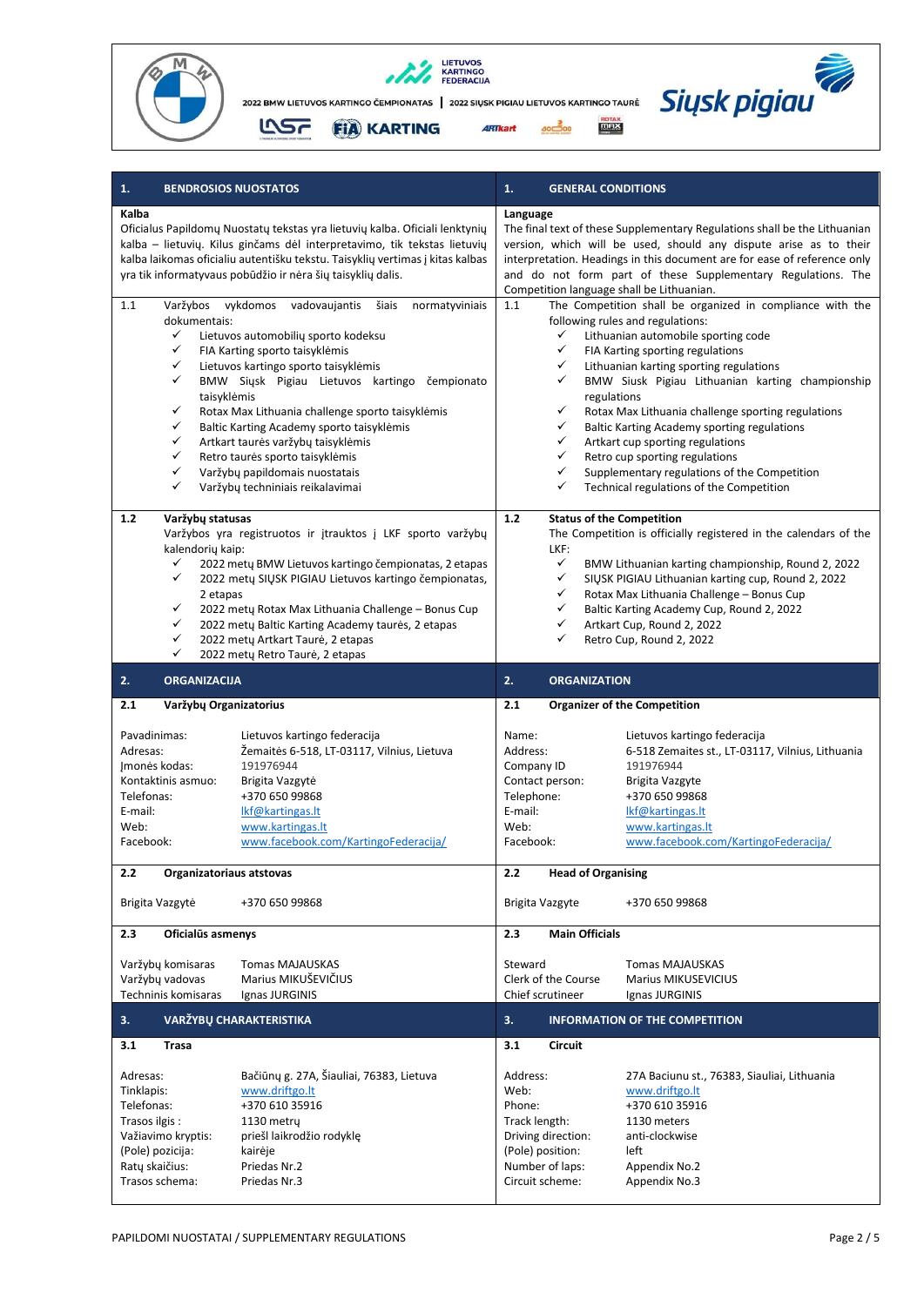





| 1.<br><b>BENDROSIOS NUOSTATOS</b>                                                                                                   |                                                                                                                                                                                                                                                                                                                                                                                                                                                                                                                                                                                                                                                                                                                                                                                            | 1.                                                                                                                                                                                                                                                                                                                                                                                                                                                                                                                                                                                                                                                                                                                                                                                                                                                                                                                                                                                                             | <b>GENERAL CONDITIONS</b>                                                                                                                                                                                          |  |
|-------------------------------------------------------------------------------------------------------------------------------------|--------------------------------------------------------------------------------------------------------------------------------------------------------------------------------------------------------------------------------------------------------------------------------------------------------------------------------------------------------------------------------------------------------------------------------------------------------------------------------------------------------------------------------------------------------------------------------------------------------------------------------------------------------------------------------------------------------------------------------------------------------------------------------------------|----------------------------------------------------------------------------------------------------------------------------------------------------------------------------------------------------------------------------------------------------------------------------------------------------------------------------------------------------------------------------------------------------------------------------------------------------------------------------------------------------------------------------------------------------------------------------------------------------------------------------------------------------------------------------------------------------------------------------------------------------------------------------------------------------------------------------------------------------------------------------------------------------------------------------------------------------------------------------------------------------------------|--------------------------------------------------------------------------------------------------------------------------------------------------------------------------------------------------------------------|--|
| Kalba<br>1.1<br>dokumentais:<br>✓<br>✓<br>✓<br>✓<br>taisyklėmis<br>✓<br>✓<br>✓<br>✓<br>✓<br>✓                                       | Oficialus Papildomų Nuostatų tekstas yra lietuvių kalba. Oficiali lenktynių<br>kalba - lietuvių. Kilus ginčams dėl interpretavimo, tik tekstas lietuvių<br>kalba laikomas oficialiu autentišku tekstu. Taisyklių vertimas į kitas kalbas<br>yra tik informatyvaus pobūdžio ir nėra šių taisyklių dalis.<br>Varžybos vykdomos vadovaujantis<br>normatyviniais<br>šiais<br>Lietuvos automobilių sporto kodeksu<br>FIA Karting sporto taisyklėmis<br>Lietuvos kartingo sporto taisyklėmis<br>BMW Siųsk Pigiau Lietuvos kartingo<br>čempionato<br>Rotax Max Lithuania challenge sporto taisyklėmis<br>Baltic Karting Academy sporto taisyklemis<br>Artkart taurės varžybų taisyklėmis<br>Retro taurės sporto taisyklėmis<br>Varžybų papildomais nuostatais<br>Varžybų techniniais reikalavimai | Language<br>The final text of these Supplementary Regulations shall be the Lithuanian<br>version, which will be used, should any dispute arise as to their<br>interpretation. Headings in this document are for ease of reference only<br>and do not form part of these Supplementary Regulations. The<br>Competition language shall be Lithuanian.<br>The Competition shall be organized in compliance with the<br>1.1<br>following rules and regulations:<br>✓<br>Lithuanian automobile sporting code<br>$\checkmark$<br>FIA Karting sporting regulations<br>✓<br>Lithuanian karting sporting regulations<br>✓<br>BMW Siusk Pigiau Lithuanian karting championship<br>regulations<br>✓<br>Rotax Max Lithuania challenge sporting regulations<br>$\checkmark$<br>Baltic Karting Academy sporting regulations<br>$\checkmark$<br>Artkart cup sporting regulations<br>✓<br>Retro cup sporting regulations<br>✓<br>Supplementary regulations of the Competition<br>✓<br>Technical regulations of the Competition |                                                                                                                                                                                                                    |  |
| Varžybų statusas<br>1.2<br>kalendorių kaip:<br>✓<br>✓<br>2 etapas<br>✓<br>✓<br>✓<br>✓                                               | Varžybos yra registruotos ir įtrauktos į LKF sporto varžybų<br>2022 metų BMW Lietuvos kartingo čempionatas, 2 etapas<br>2022 metų SIŲSK PIGIAU Lietuvos kartingo čempionatas,<br>2022 mety Rotax Max Lithuania Challenge - Bonus Cup<br>2022 metų Baltic Karting Academy taurės, 2 etapas<br>2022 mety Artkart Taurė, 2 etapas<br>2022 metų Retro Taurė, 2 etapas                                                                                                                                                                                                                                                                                                                                                                                                                          | <b>Status of the Competition</b><br>$1.2$<br>The Competition is officially registered in the calendars of the<br>LKF:<br>$\checkmark$<br>BMW Lithuanian karting championship, Round 2, 2022<br>$\checkmark$<br>SIŲSK PIGIAU Lithuanian karting cup, Round 2, 2022<br>✓<br>Rotax Max Lithuania Challenge - Bonus Cup<br>✓<br>Baltic Karting Academy Cup, Round 2, 2022<br>✓<br>Artkart Cup, Round 2, 2022<br>✓<br>Retro Cup, Round 2, 2022                                                                                                                                                                                                                                                                                                                                                                                                                                                                                                                                                                      |                                                                                                                                                                                                                    |  |
| 2.<br><b>ORGANIZACIJA</b>                                                                                                           |                                                                                                                                                                                                                                                                                                                                                                                                                                                                                                                                                                                                                                                                                                                                                                                            | 2.<br><b>ORGANIZATION</b>                                                                                                                                                                                                                                                                                                                                                                                                                                                                                                                                                                                                                                                                                                                                                                                                                                                                                                                                                                                      |                                                                                                                                                                                                                    |  |
| 2.1<br>Varžybų Organizatorius                                                                                                       |                                                                                                                                                                                                                                                                                                                                                                                                                                                                                                                                                                                                                                                                                                                                                                                            | 2.1<br><b>Organizer of the Competition</b>                                                                                                                                                                                                                                                                                                                                                                                                                                                                                                                                                                                                                                                                                                                                                                                                                                                                                                                                                                     |                                                                                                                                                                                                                    |  |
| Pavadinimas:<br>Adresas:<br>Imonės kodas:<br>Kontaktinis asmuo:<br>Telefonas:<br>E-mail:<br>Web:<br>Facebook:                       | Lietuvos kartingo federacija<br>Žemaitės 6-518, LT-03117, Vilnius, Lietuva<br>191976944<br>Brigita Vazgytė<br>+370 650 99868<br>Ikf@kartingas.lt<br>www.kartingas.lt<br>www.facebook.com/KartingoFederacija/                                                                                                                                                                                                                                                                                                                                                                                                                                                                                                                                                                               | Name:<br>Address:<br>Company ID<br>Contact person:<br>Telephone:<br>E-mail:<br>Web:<br>Facebook:                                                                                                                                                                                                                                                                                                                                                                                                                                                                                                                                                                                                                                                                                                                                                                                                                                                                                                               | Lietuvos kartingo federacija<br>6-518 Zemaites st., LT-03117, Vilnius, Lithuania<br>191976944<br>Brigita Vazgyte<br>+370 650 99868<br>Ikf@kartingas.lt<br>www.kartingas.lt<br>www.facebook.com/KartingoFederacija/ |  |
| 2.2<br>Organizatoriaus atstovas                                                                                                     |                                                                                                                                                                                                                                                                                                                                                                                                                                                                                                                                                                                                                                                                                                                                                                                            | 2.2                                                                                                                                                                                                                                                                                                                                                                                                                                                                                                                                                                                                                                                                                                                                                                                                                                                                                                                                                                                                            | <b>Head of Organising</b>                                                                                                                                                                                          |  |
| Brigita Vazgytė                                                                                                                     | +370 650 99868                                                                                                                                                                                                                                                                                                                                                                                                                                                                                                                                                                                                                                                                                                                                                                             | Brigita Vazgyte                                                                                                                                                                                                                                                                                                                                                                                                                                                                                                                                                                                                                                                                                                                                                                                                                                                                                                                                                                                                | +370 650 99868                                                                                                                                                                                                     |  |
| 2.3<br>Oficialūs asmenys<br>Varžybų komisaras<br>Varžybų vadovas<br>Techninis komisaras                                             | <b>Tomas MAJAUSKAS</b><br>Marius MIKUŠEVIČIUS<br>Ignas JURGINIS                                                                                                                                                                                                                                                                                                                                                                                                                                                                                                                                                                                                                                                                                                                            | 2.3<br>Steward<br>Clerk of the Course<br>Chief scrutineer                                                                                                                                                                                                                                                                                                                                                                                                                                                                                                                                                                                                                                                                                                                                                                                                                                                                                                                                                      | <b>Main Officials</b><br><b>Tomas MAJAUSKAS</b><br><b>Marius MIKUSEVICIUS</b><br>Ignas JURGINIS                                                                                                                    |  |
| VARŽYBŲ CHARAKTERISTIKA<br>3.                                                                                                       |                                                                                                                                                                                                                                                                                                                                                                                                                                                                                                                                                                                                                                                                                                                                                                                            | 3.                                                                                                                                                                                                                                                                                                                                                                                                                                                                                                                                                                                                                                                                                                                                                                                                                                                                                                                                                                                                             | <b>INFORMATION OF THE COMPETITION</b>                                                                                                                                                                              |  |
| 3.1<br><b>Trasa</b>                                                                                                                 |                                                                                                                                                                                                                                                                                                                                                                                                                                                                                                                                                                                                                                                                                                                                                                                            | 3.1<br><b>Circuit</b>                                                                                                                                                                                                                                                                                                                                                                                                                                                                                                                                                                                                                                                                                                                                                                                                                                                                                                                                                                                          |                                                                                                                                                                                                                    |  |
| Adresas:<br>Tinklapis:<br>Telefonas:<br>Trasos ilgis:<br>Važiavimo kryptis:<br>(Pole) pozicija:<br>Ratų skaičius:<br>Trasos schema: | Bačiūnų g. 27A, Šiauliai, 76383, Lietuva<br>www.driftgo.lt<br>+370 610 35916<br>1130 metry<br>priešl laikrodžio rodyklę<br>kairėje<br>Priedas Nr.2<br>Priedas Nr.3                                                                                                                                                                                                                                                                                                                                                                                                                                                                                                                                                                                                                         | Address:<br>Web:<br>Phone:<br>Track length:<br>Driving direction:<br>(Pole) position:<br>Number of laps:<br>Circuit scheme:                                                                                                                                                                                                                                                                                                                                                                                                                                                                                                                                                                                                                                                                                                                                                                                                                                                                                    | 27A Baciunu st., 76383, Siauliai, Lithuania<br>www.driftgo.lt<br>+370 610 35916<br>1130 meters<br>anti-clockwise<br>left<br>Appendix No.2<br>Appendix No.3                                                         |  |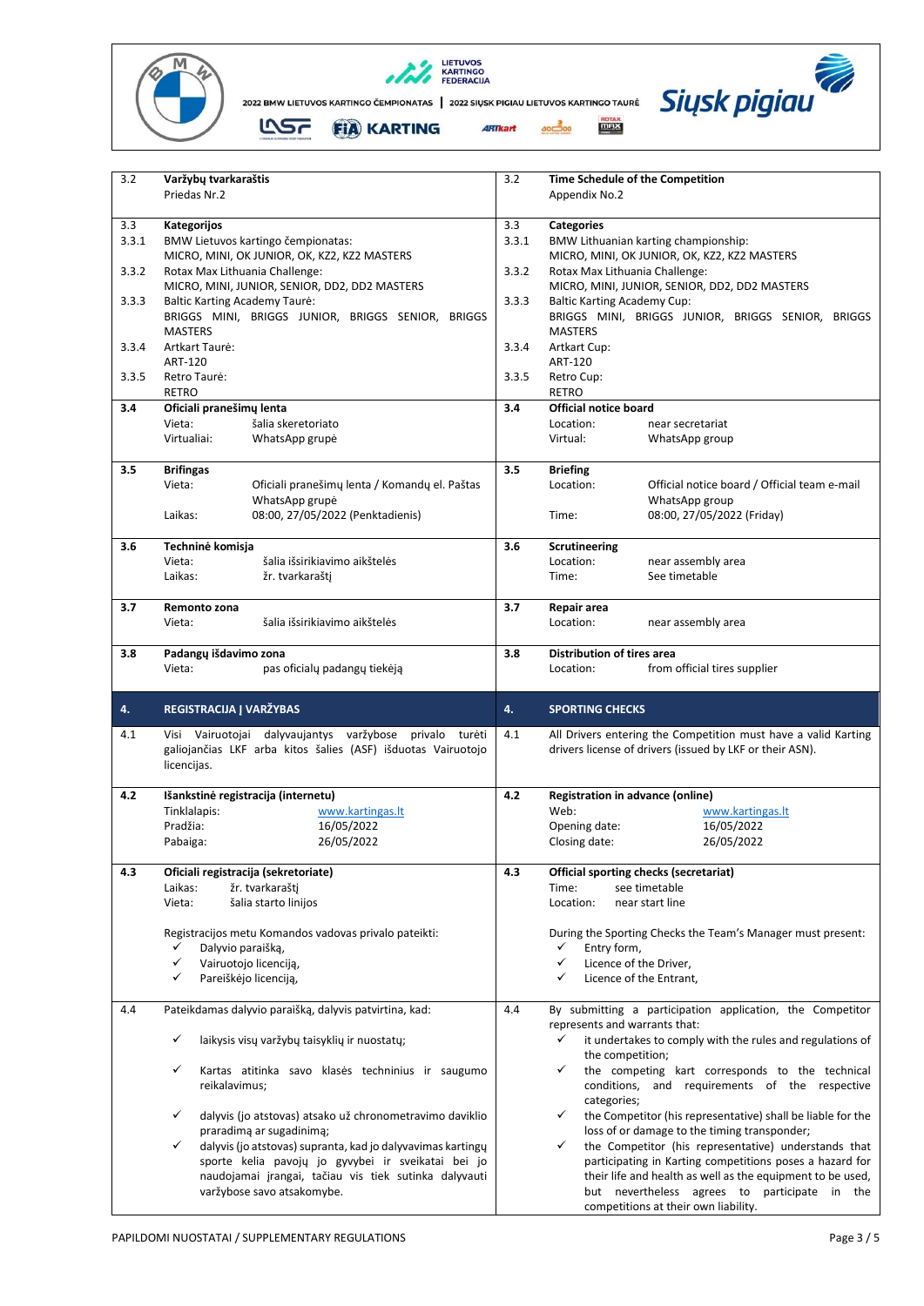





| 3.2   | Varžybų tvarkaraštis<br>Priedas Nr.2     |                                                                                     | 3.2   | Appendix No.2                                | <b>Time Schedule of the Competition</b>                                                                     |
|-------|------------------------------------------|-------------------------------------------------------------------------------------|-------|----------------------------------------------|-------------------------------------------------------------------------------------------------------------|
|       |                                          |                                                                                     |       |                                              |                                                                                                             |
| 3.3   | Kategorijos                              |                                                                                     | 3.3   | <b>Categories</b>                            |                                                                                                             |
| 3.3.1 |                                          | BMW Lietuvos kartingo čempionatas:<br>MICRO, MINI, OK JUNIOR, OK, KZ2, KZ2 MASTERS  | 3.3.1 |                                              | BMW Lithuanian karting championship:<br>MICRO, MINI, OK JUNIOR, OK, KZ2, KZ2 MASTERS                        |
| 3.3.2 |                                          | Rotax Max Lithuania Challenge:                                                      | 3.3.2 | Rotax Max Lithuania Challenge:               |                                                                                                             |
|       |                                          | MICRO, MINI, JUNIOR, SENIOR, DD2, DD2 MASTERS                                       |       |                                              | MICRO, MINI, JUNIOR, SENIOR, DD2, DD2 MASTERS                                                               |
| 3.3.3 | <b>Baltic Karting Academy Taure:</b>     | BRIGGS MINI, BRIGGS JUNIOR, BRIGGS SENIOR, BRIGGS                                   | 3.3.3 | <b>Baltic Karting Academy Cup:</b>           | BRIGGS MINI, BRIGGS JUNIOR, BRIGGS SENIOR, BRIGGS                                                           |
|       | <b>MASTERS</b>                           |                                                                                     |       | <b>MASTERS</b>                               |                                                                                                             |
| 3.3.4 | Artkart Taurė:                           |                                                                                     | 3.3.4 | Artkart Cup:                                 |                                                                                                             |
|       | ART-120                                  |                                                                                     |       | ART-120                                      |                                                                                                             |
| 3.3.5 | Retro Taurė:                             |                                                                                     | 3.3.5 | Retro Cup:                                   |                                                                                                             |
| 3.4   | <b>RETRO</b><br>Oficiali pranešimų lenta |                                                                                     | 3.4   | <b>RETRO</b><br><b>Official notice board</b> |                                                                                                             |
|       | Vieta:                                   | šalia skeretoriato                                                                  |       | Location:                                    | near secretariat                                                                                            |
|       | Virtualiai:                              | WhatsApp grupė                                                                      |       | Virtual:                                     | WhatsApp group                                                                                              |
|       |                                          |                                                                                     |       |                                              |                                                                                                             |
| 3.5   | <b>Brifingas</b>                         |                                                                                     | 3.5   | <b>Briefing</b>                              |                                                                                                             |
|       | Vieta:                                   | Oficiali pranešimų lenta / Komandų el. Paštas                                       |       | Location:                                    | Official notice board / Official team e-mail                                                                |
|       | Laikas:                                  | WhatsApp grupė<br>08:00, 27/05/2022 (Penktadienis)                                  |       | Time:                                        | WhatsApp group<br>08:00, 27/05/2022 (Friday)                                                                |
|       |                                          |                                                                                     |       |                                              |                                                                                                             |
| 3.6   | Techninė komisja                         |                                                                                     | 3.6   | Scrutineering                                |                                                                                                             |
|       | Vieta:                                   | šalia išsirikiavimo aikštelės                                                       |       | Location:                                    | near assembly area                                                                                          |
|       | Laikas:                                  | žr. tvarkaraštj                                                                     |       | Time:                                        | See timetable                                                                                               |
| 3.7   | Remonto zona                             |                                                                                     | 3.7   | Repair area                                  |                                                                                                             |
|       | Vieta:                                   | šalia išsirikiavimo aikštelės                                                       |       | Location:                                    | near assembly area                                                                                          |
|       |                                          |                                                                                     |       |                                              |                                                                                                             |
| 3.8   | Padangų išdavimo zona                    |                                                                                     | 3.8   | Distribution of tires area                   |                                                                                                             |
|       | Vieta:                                   | pas oficialų padangų tiekėją                                                        |       | Location:                                    | from official tires supplier                                                                                |
|       |                                          |                                                                                     |       |                                              |                                                                                                             |
| 4.    | REGISTRACIJA J VARŽYBAS                  |                                                                                     | 4.    | <b>SPORTING CHECKS</b>                       |                                                                                                             |
| 4.1   |                                          | Visi Vairuotojai dalyvaujantys varžybose privalo turėti                             | 4.1   |                                              | All Drivers entering the Competition must have a valid Karting                                              |
|       |                                          | galiojančias LKF arba kitos šalies (ASF) išduotas Vairuotojo                        |       |                                              | drivers license of drivers (issued by LKF or their ASN).                                                    |
|       | licencijas.                              |                                                                                     |       |                                              |                                                                                                             |
| 4.2   |                                          | Išankstinė registracija (internetu)                                                 | 4.2   |                                              | Registration in advance (online)                                                                            |
|       | Tinklalapis:                             | www.kartingas.lt                                                                    |       | Web:                                         | www.kartingas.lt                                                                                            |
|       | Pradžia:                                 | 16/05/2022                                                                          |       | Opening date:                                | 16/05/2022                                                                                                  |
|       | Pabaiga:                                 | 26/05/2022                                                                          |       | Closing date:                                | 26/05/2022                                                                                                  |
|       |                                          |                                                                                     |       |                                              |                                                                                                             |
| 4.3   | Laikas:                                  | Oficiali registracija (sekretoriate)<br>žr. tvarkaraštį                             | 4.3   | Time:                                        | Official sporting checks (secretariat)<br>see timetable                                                     |
|       | Vieta:                                   | šalia starto linijos                                                                |       | Location:                                    | near start line                                                                                             |
|       |                                          |                                                                                     |       |                                              |                                                                                                             |
|       |                                          | Registracijos metu Komandos vadovas privalo pateikti:                               |       |                                              | During the Sporting Checks the Team's Manager must present:                                                 |
|       | Dalyvio paraišką,<br>✓<br>✓              | Vairuotojo licenciją,                                                               |       | ✓<br>Entry form,<br>✓                        |                                                                                                             |
|       | ✓                                        | Pareiškėjo licenciją,                                                               |       | ✓                                            | Licence of the Driver,<br>Licence of the Entrant,                                                           |
|       |                                          |                                                                                     |       |                                              |                                                                                                             |
| 4.4   |                                          | Pateikdamas dalyvio paraišką, dalyvis patvirtina, kad:                              | 4.4   | represents and warrants that:                | By submitting a participation application, the Competitor                                                   |
|       | ✓                                        | laikysis visų varžybų taisyklių ir nuostatų;                                        |       | ✓                                            | it undertakes to comply with the rules and regulations of                                                   |
|       |                                          |                                                                                     |       | the competition;                             |                                                                                                             |
|       | ✓                                        | Kartas atitinka savo klasės techninius ir saugumo                                   |       | ✓                                            | the competing kart corresponds to the technical                                                             |
|       | reikalavimus;                            |                                                                                     |       |                                              | conditions, and requirements of the respective                                                              |
|       | ✓                                        | dalyvis (jo atstovas) atsako už chronometravimo daviklio                            |       | categories;<br>✓                             | the Competitor (his representative) shall be liable for the                                                 |
|       |                                          | praradimą ar sugadinimą;                                                            |       |                                              | loss of or damage to the timing transponder;                                                                |
|       | ✓                                        | dalyvis (jo atstovas) supranta, kad jo dalyvavimas kartingų                         |       | ✓                                            | the Competitor (his representative) understands that                                                        |
|       |                                          | sporte kelia pavojų jo gyvybei ir sveikatai bei jo                                  |       |                                              | participating in Karting competitions poses a hazard for                                                    |
|       |                                          | naudojamai įrangai, tačiau vis tiek sutinka dalyvauti<br>varžybose savo atsakomybe. |       |                                              | their life and health as well as the equipment to be used,<br>but nevertheless agrees to participate in the |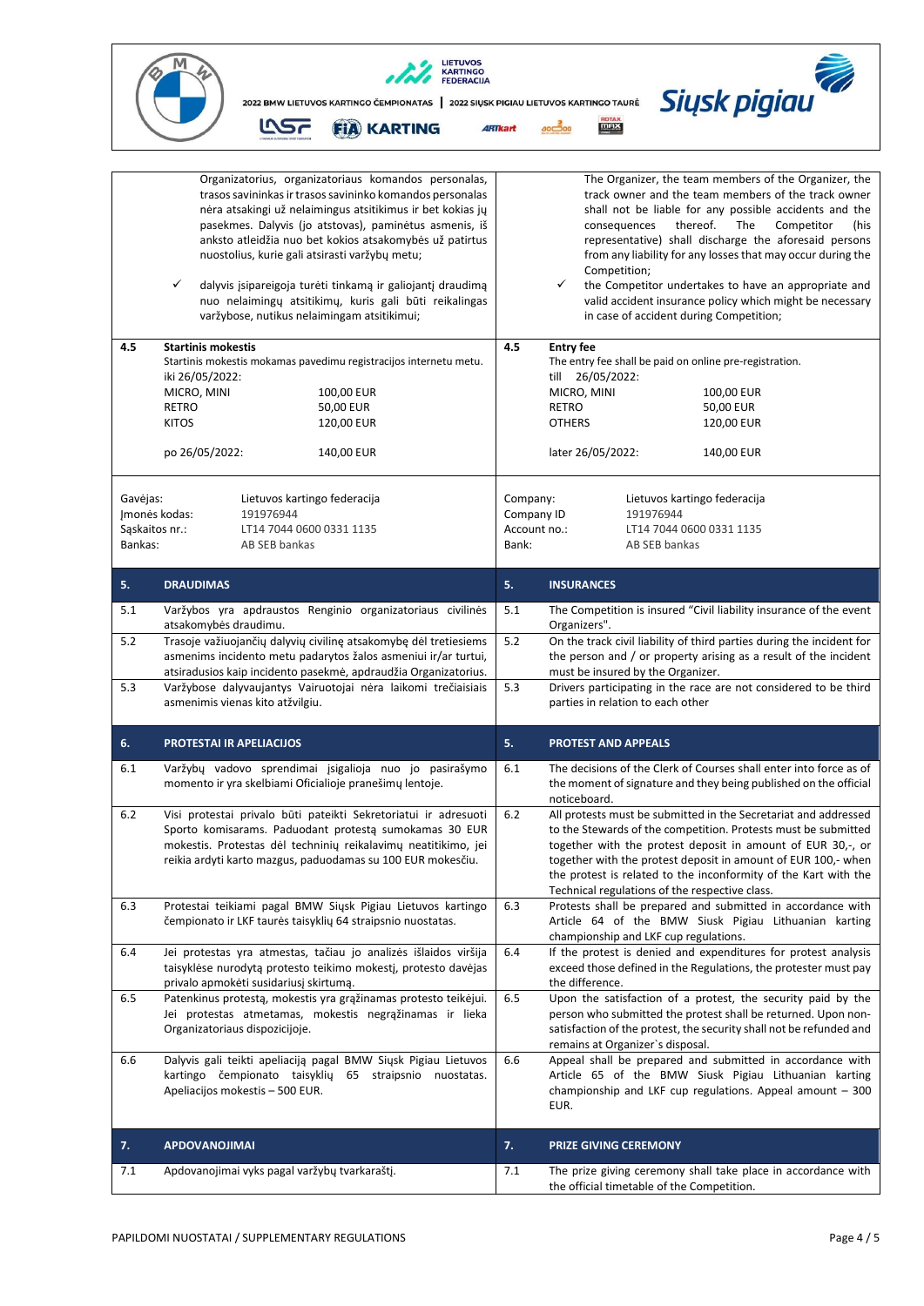

| 4.5            | Organizatorius, organizatoriaus komandos personalas,<br>trasos savininkas ir trasos savininko komandos personalas<br>nėra atsakingi už nelaimingus atsitikimus ir bet kokias jų<br>pasekmes. Dalyvis (jo atstovas), paminėtus asmenis, iš<br>anksto atleidžia nuo bet kokios atsakomybės už patirtus<br>nuostolius, kurie gali atsirasti varžybų metu;<br>✓<br>dalyvis įsipareigoja turėti tinkamą ir galiojantį draudimą<br>nuo nelaimingų atsitikimų, kuris gali būti reikalingas<br>varžybose, nutikus nelaimingam atsitikimui;<br><b>Startinis mokestis</b><br>Startinis mokestis mokamas pavedimu registracijos internetu metu.<br>iki 26/05/2022:<br>MICRO, MINI<br>100,00 EUR<br>50,00 EUR<br>RETRO<br><b>KITOS</b><br>120,00 EUR<br>po 26/05/2022:<br>140,00 EUR | 4.5                        | The Organizer, the team members of the Organizer, the<br>track owner and the team members of the track owner<br>shall not be liable for any possible accidents and the<br>thereof.<br>The<br>Competitor<br>consequences<br>(his<br>representative) shall discharge the aforesaid persons<br>from any liability for any losses that may occur during the<br>Competition;<br>the Competitor undertakes to have an appropriate and<br>✓<br>valid accident insurance policy which might be necessary<br>in case of accident during Competition;<br><b>Entry fee</b><br>The entry fee shall be paid on online pre-registration.<br>till 26/05/2022:<br>MICRO, MINI<br>100,00 EUR<br><b>RETRO</b><br>50,00 EUR<br><b>OTHERS</b><br>120,00 EUR<br>later 26/05/2022:<br>140,00 EUR |
|----------------|--------------------------------------------------------------------------------------------------------------------------------------------------------------------------------------------------------------------------------------------------------------------------------------------------------------------------------------------------------------------------------------------------------------------------------------------------------------------------------------------------------------------------------------------------------------------------------------------------------------------------------------------------------------------------------------------------------------------------------------------------------------------------|----------------------------|----------------------------------------------------------------------------------------------------------------------------------------------------------------------------------------------------------------------------------------------------------------------------------------------------------------------------------------------------------------------------------------------------------------------------------------------------------------------------------------------------------------------------------------------------------------------------------------------------------------------------------------------------------------------------------------------------------------------------------------------------------------------------|
| Gavejas:       | Lietuvos kartingo federacija                                                                                                                                                                                                                                                                                                                                                                                                                                                                                                                                                                                                                                                                                                                                             | Company:                   | Lietuvos kartingo federacija                                                                                                                                                                                                                                                                                                                                                                                                                                                                                                                                                                                                                                                                                                                                               |
| Sąskaitos nr.: | 191976944<br>Jmonės kodas:<br>LT14 7044 0600 0331 1135                                                                                                                                                                                                                                                                                                                                                                                                                                                                                                                                                                                                                                                                                                                   | Company ID<br>Account no.: | 191976944<br>LT14 7044 0600 0331 1135                                                                                                                                                                                                                                                                                                                                                                                                                                                                                                                                                                                                                                                                                                                                      |
| Bankas:        | AB SEB bankas                                                                                                                                                                                                                                                                                                                                                                                                                                                                                                                                                                                                                                                                                                                                                            | Bank:                      | AB SEB bankas                                                                                                                                                                                                                                                                                                                                                                                                                                                                                                                                                                                                                                                                                                                                                              |
| 5.             | <b>DRAUDIMAS</b>                                                                                                                                                                                                                                                                                                                                                                                                                                                                                                                                                                                                                                                                                                                                                         | 5.                         | <b>INSURANCES</b>                                                                                                                                                                                                                                                                                                                                                                                                                                                                                                                                                                                                                                                                                                                                                          |
| 5.1            | Varžybos yra apdraustos Renginio organizatoriaus civilinės<br>atsakomybės draudimu.                                                                                                                                                                                                                                                                                                                                                                                                                                                                                                                                                                                                                                                                                      | 5.1                        | The Competition is insured "Civil liability insurance of the event<br>Organizers".                                                                                                                                                                                                                                                                                                                                                                                                                                                                                                                                                                                                                                                                                         |
| 5.2            | Trasoje važiuojančių dalyvių civilinę atsakomybę dėl tretiesiems<br>asmenims incidento metu padarytos žalos asmeniui ir/ar turtui,<br>atsiradusios kaip incidento pasekmė, apdraudžia Organizatorius.                                                                                                                                                                                                                                                                                                                                                                                                                                                                                                                                                                    | 5.2                        | On the track civil liability of third parties during the incident for<br>the person and / or property arising as a result of the incident<br>must be insured by the Organizer.                                                                                                                                                                                                                                                                                                                                                                                                                                                                                                                                                                                             |
| 5.3            | Varžybose dalyvaujantys Vairuotojai nėra laikomi trečiaisiais<br>asmenimis vienas kito atžvilgiu.                                                                                                                                                                                                                                                                                                                                                                                                                                                                                                                                                                                                                                                                        | 5.3                        | Drivers participating in the race are not considered to be third<br>parties in relation to each other                                                                                                                                                                                                                                                                                                                                                                                                                                                                                                                                                                                                                                                                      |
| 6.             | <b>PROTESTAI IR APELIACIJOS</b>                                                                                                                                                                                                                                                                                                                                                                                                                                                                                                                                                                                                                                                                                                                                          | 5.                         | <b>PROTEST AND APPEALS</b>                                                                                                                                                                                                                                                                                                                                                                                                                                                                                                                                                                                                                                                                                                                                                 |
| 6.1            | Varžybų vadovo sprendimai įsigalioja nuo jo pasirašymo<br>momento ir yra skelbiami Oficialioje pranešimų lentoje.                                                                                                                                                                                                                                                                                                                                                                                                                                                                                                                                                                                                                                                        | 6.1                        | The decisions of the Clerk of Courses shall enter into force as of<br>the moment of signature and they being published on the official<br>noticeboard.                                                                                                                                                                                                                                                                                                                                                                                                                                                                                                                                                                                                                     |
| 6.2            | Visi protestai privalo būti pateikti Sekretoriatui ir adresuoti<br>Sporto komisarams. Paduodant protestą sumokamas 30 EUR<br>mokestis. Protestas dėl techninių reikalavimų neatitikimo, jei<br>reikia ardyti karto mazgus, paduodamas su 100 EUR mokesčiu.                                                                                                                                                                                                                                                                                                                                                                                                                                                                                                               | 6.2                        | All protests must be submitted in the Secretariat and addressed<br>to the Stewards of the competition. Protests must be submitted<br>together with the protest deposit in amount of EUR 30,-, or<br>together with the protest deposit in amount of EUR 100,- when<br>the protest is related to the inconformity of the Kart with the<br>Technical regulations of the respective class.                                                                                                                                                                                                                                                                                                                                                                                     |
| 6.3            | Protestai teikiami pagal BMW Siųsk Pigiau Lietuvos kartingo<br>čempionato ir LKF taurės taisyklių 64 straipsnio nuostatas.                                                                                                                                                                                                                                                                                                                                                                                                                                                                                                                                                                                                                                               | 6.3                        | Protests shall be prepared and submitted in accordance with<br>Article 64 of the BMW Siusk Pigiau Lithuanian karting<br>championship and LKF cup regulations.                                                                                                                                                                                                                                                                                                                                                                                                                                                                                                                                                                                                              |
| 6.4            | Jei protestas yra atmestas, tačiau jo analizės išlaidos viršija<br>taisyklėse nurodytą protesto teikimo mokestį, protesto davėjas<br>privalo apmokėti susidariusį skirtumą.                                                                                                                                                                                                                                                                                                                                                                                                                                                                                                                                                                                              | 6.4                        | If the protest is denied and expenditures for protest analysis<br>exceed those defined in the Regulations, the protester must pay<br>the difference.                                                                                                                                                                                                                                                                                                                                                                                                                                                                                                                                                                                                                       |
| 6.5            | Patenkinus protestą, mokestis yra grąžinamas protesto teikėjui.<br>Jei protestas atmetamas, mokestis negrąžinamas ir lieka<br>Organizatoriaus dispozicijoje.                                                                                                                                                                                                                                                                                                                                                                                                                                                                                                                                                                                                             | 6.5                        | Upon the satisfaction of a protest, the security paid by the<br>person who submitted the protest shall be returned. Upon non-<br>satisfaction of the protest, the security shall not be refunded and<br>remains at Organizer's disposal.                                                                                                                                                                                                                                                                                                                                                                                                                                                                                                                                   |
| 6.6            | Dalyvis gali teikti apeliaciją pagal BMW Siysk Pigiau Lietuvos<br>kartingo čempionato taisyklių 65 straipsnio nuostatas.<br>Apeliacijos mokestis - 500 EUR.                                                                                                                                                                                                                                                                                                                                                                                                                                                                                                                                                                                                              | 6.6                        | Appeal shall be prepared and submitted in accordance with<br>Article 65 of the BMW Siusk Pigiau Lithuanian karting<br>championship and LKF cup regulations. Appeal amount $-300$<br>EUR.                                                                                                                                                                                                                                                                                                                                                                                                                                                                                                                                                                                   |
| 7.             | <b>APDOVANOJIMAI</b>                                                                                                                                                                                                                                                                                                                                                                                                                                                                                                                                                                                                                                                                                                                                                     | 7.                         | <b>PRIZE GIVING CEREMONY</b>                                                                                                                                                                                                                                                                                                                                                                                                                                                                                                                                                                                                                                                                                                                                               |
| 7.1            | Apdovanojimai vyks pagal varžybų tvarkaraštį.                                                                                                                                                                                                                                                                                                                                                                                                                                                                                                                                                                                                                                                                                                                            | 7.1                        | The prize giving ceremony shall take place in accordance with<br>the official timetable of the Competition.                                                                                                                                                                                                                                                                                                                                                                                                                                                                                                                                                                                                                                                                |